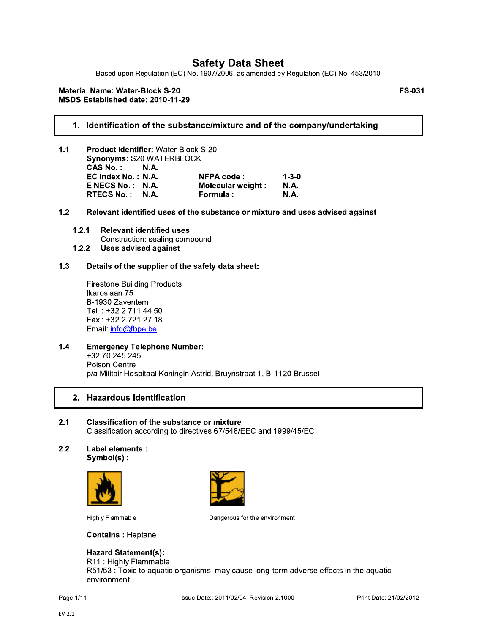Based upon Regulation (EC) No. 1907/2006, as amended by Regulation (EC) No. 453/2010

### **Material Name: Water-Block S-20** MSDS Established date: 2010-11-29

**FS-031** 

### 1. Identification of the substance/mixture and of the company/undertaking

- $1.1$ Product Identifier: Water-Block S-20 Synonyms: S20 WATERBLOCK CAS No.:  $N.A.$ EC index No.: N.A. **NFPA code:**  $1 - 3 - 0$ EINECS No.: N.A. Molecular weight: **N.A.** RTECS No.: N.A. Formula : **N.A.**
- Relevant identified uses of the substance or mixture and uses advised against  $1.2$ 
	- $1.2.1$ **Relevant identified uses** Construction: sealing compound **Uses advised against**  $1.2.2$

#### $1.3$ Details of the supplier of the safety data sheet:

**Firestone Building Products** Ikaroslaan 75 B-1930 Zaventem Tel.: +32 2 711 44 50 Fax: +32 2 721 27 18 Email: info@fbpe.be

 $1.4$ **Emergency Telephone Number:** +32 70 245 245 Poison Centre p/a Militair Hospitaal Koningin Astrid, Bruynstraat 1, B-1120 Brussel

### 2. Hazardous Identification

- $2.1$ **Classification of the substance or mixture** Classification according to directives 67/548/EEC and 1999/45/EC
- Label elements :  $2.2$ Symbol(s):





**Highly Flammable** 

Dangerous for the environment

**Contains: Heptane** 

## **Hazard Statement(s):**

R11: Highly Flammable

R51/53 : Toxic to aquatic organisms, may cause long-term adverse effects in the aquatic environment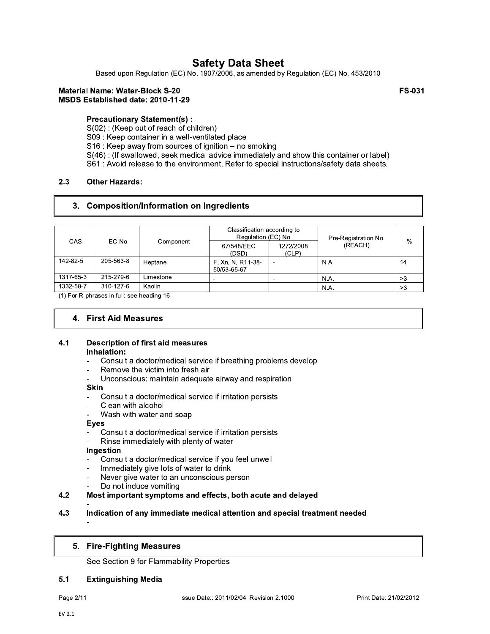Based upon Regulation (EC) No. 1907/2006, as amended by Regulation (EC) No. 453/2010

#### **Material Name: Water-Block S-20** MSDS Established date: 2010-11-29

**FS-031** 

## **Precautionary Statement(s):**

S(02): (Keep out of reach of children)

S09 : Keep container in a well-ventilated place

S16 : Keep away from sources of ignition - no smoking

S(46): (If swallowed, seek medical advice immediately and show this container or label)

S61 : Avoid release to the environment. Refer to special instructions/safety data sheets.

#### $2.3$ **Other Hazards:**

### 3. Composition/Information on Ingredients

|           | EC-No     | Component | Classification according to<br>Regulation (EC) No |                    | Pre-Registration No.<br>(REACH) | %  |
|-----------|-----------|-----------|---------------------------------------------------|--------------------|---------------------------------|----|
| CAS       |           |           | 67/548/EEC<br>(DSD)                               | 1272/2008<br>(CLP) |                                 |    |
| 142-82-5  | 205-563-8 | Heptane   | F, Xn, N, R11-38-<br>50/53-65-67                  |                    | N.A.                            | 14 |
| 1317-65-3 | 215-279-6 | Limestone | $\overline{\phantom{a}}$                          | -                  | N.A.                            | >3 |
| 1332-58-7 | 310-127-6 | Kaolin    |                                                   |                    | N.A.                            | >3 |

(1) For R-phrases in full: see heading 16

### 4. First Aid Measures

#### $4.1$ **Description of first aid measures** Inhalation:

- Consult a doctor/medical service if breathing problems develop  $\overline{a}$
- Remove the victim into fresh air
- Unconscious: maintain adequate airway and respiration

### **Skin**

- Consult a doctor/medical service if irritation persists
- Clean with alcohol
- Wash with water and soap

### **Eyes**

- Consult a doctor/medical service if irritation persists
- Rinse immediately with plenty of water

### Ingestion

- Consult a doctor/medical service if you feel unwell
- Immediately give lots of water to drink
- Never give water to an unconscious person
- Do not induce vomiting

#### $4.2$ Most important symptoms and effects, both acute and delayed

#### $4.3$ Indication of any immediate medical attention and special treatment needed

### 5. Fire-Fighting Measures

See Section 9 for Flammability Properties

#### $5.1$ **Extinguishing Media**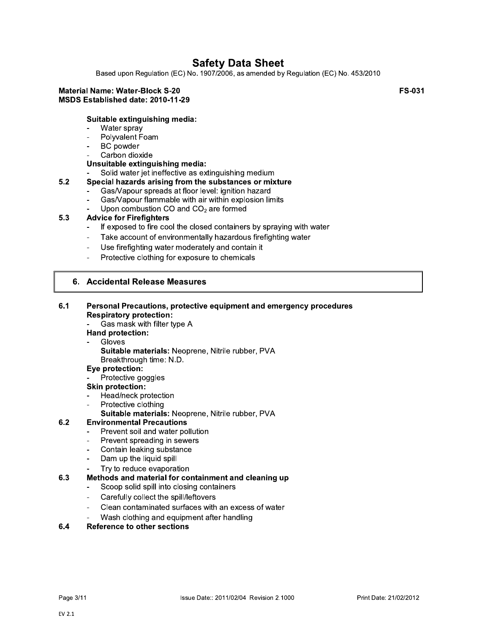Based upon Regulation (EC) No. 1907/2006, as amended by Regulation (EC) No. 453/2010

#### **Material Name: Water-Block S-20** MSDS Established date: 2010-11-29

### Suitable extinguishing media:

- Water spray
- Polyvalent Foam
- **BC** powder
- Carbon dioxide

### Unsuitable extinguishing media:

Solid water jet ineffective as extinguishing medium

#### $5.2$ Special hazards arising from the substances or mixture

- Gas/Vapour spreads at floor level: ignition hazard
- Gas/Vapour flammable with air within explosion limits  $\overline{a}$
- Upon combustion CO and  $CO<sub>2</sub>$  are formed  $\overline{a}$

#### $5.3$ **Advice for Firefighters**

- If exposed to fire cool the closed containers by spraying with water
- Take account of environmentally hazardous firefighting water  $\overline{a}$
- Use firefighting water moderately and contain it
- Protective clothing for exposure to chemicals

### 6. Accidental Release Measures

#### $6.1$ Personal Precautions, protective equipment and emergency procedures **Respiratory protection:**

Gas mask with filter type A

### Hand protection:

- Gloves
	- Suitable materials: Neoprene, Nitrile rubber, PVA Breakthrough time: N.D.

### Eye protection:

Protective goggles

**Skin protection:** 

- Head/neck protection
- Protective clothing
	- Suitable materials: Neoprene, Nitrile rubber, PVA

#### $6.2$ **Environmental Precautions**

- Prevent soil and water pollution
- Prevent spreading in sewers  $\blacksquare$
- Contain leaking substance  $\mathbf{r}$
- Dam up the liquid spill
- Try to reduce evaporation

#### $6.3$ Methods and material for containment and cleaning up

- Scoop solid spill into closing containers  $\blacksquare$
- Carefully collect the spill/leftovers  $\overline{a}$
- Clean contaminated surfaces with an excess of water
- Wash clothing and equipment after handling

#### 6.4 **Reference to other sections**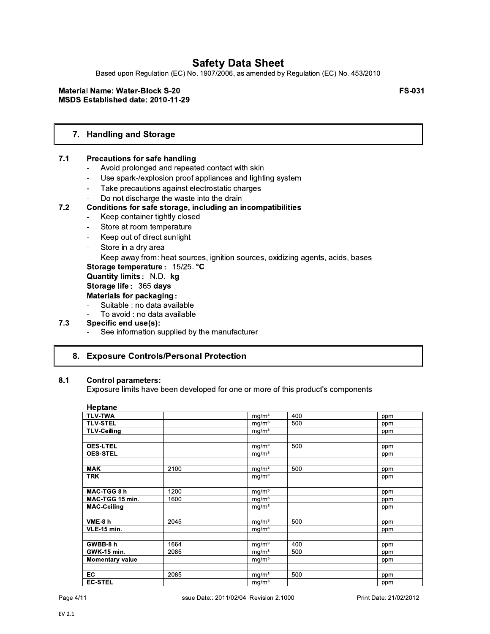Based upon Regulation (EC) No. 1907/2006, as amended by Regulation (EC) No. 453/2010

### **Material Name: Water-Block S-20** MSDS Established date: 2010-11-29

**FS-031** 

## 7. Handling and Storage

#### $7.1$ **Precautions for safe handling**

- Avoid prolonged and repeated contact with skin
- Use spark-/explosion proof appliances and lighting system  $\blacksquare$
- Take precautions against electrostatic charges
- Do not discharge the waste into the drain

### Conditions for safe storage, including an incompatibilities

- Keep container tightly closed  $\blacksquare$
- Store at room temperature  $\mathbf{r}$
- Keep out of direct sunlight  $\mathbf{r}$
- Store in a dry area

 $7.2$ 

Keep away from: heat sources, ignition sources, oxidizing agents, acids, bases

Storage temperature: 15/25. °C

Quantity limits: N.D. kg

Storage life: 365 days

#### Materials for packaging:

- Suitable : no data available
- To avoid : no data available

#### $7.3$ Specific end use(s):

See information supplied by the manufacturer

### 8. Exposure Controls/Personal Protection

#### $8.1$ **Control parameters:**

Exposure limits have been developed for one or more of this product's components

| Heptane                |      |                   |     |     |
|------------------------|------|-------------------|-----|-----|
| <b>TLV-TWA</b>         |      | mq/m <sup>3</sup> | 400 | ppm |
| <b>TLV-STEL</b>        |      | mg/m <sup>3</sup> | 500 | ppm |
| <b>TLV-Ceiling</b>     |      | mg/m <sup>3</sup> |     | ppm |
|                        |      |                   |     |     |
| <b>OES-LTEL</b>        |      | mg/m <sup>3</sup> | 500 | ppm |
| <b>OES-STEL</b>        |      | mg/m <sup>3</sup> |     | ppm |
|                        |      |                   |     |     |
| <b>MAK</b>             | 2100 | mg/m <sup>3</sup> | 500 | ppm |
| <b>TRK</b>             |      | mg/m <sup>3</sup> |     | ppm |
|                        |      |                   |     |     |
| MAC-TGG 8 h            | 1200 | mg/m <sup>3</sup> |     | ppm |
| MAC-TGG 15 min.        | 1600 | mg/m <sup>3</sup> |     | ppm |
| <b>MAC-Ceiling</b>     |      | mg/m <sup>3</sup> |     | ppm |
|                        |      |                   |     |     |
| VME-8 h                | 2045 | $mg/m^3$          | 500 | ppm |
| VLE-15 min.            |      | mg/m <sup>3</sup> |     | ppm |
|                        |      |                   |     |     |
| GWBB-8 h               | 1664 | $mg/m^3$          | 400 | ppm |
| <b>GWK-15 min.</b>     | 2085 | mg/m <sup>3</sup> | 500 | ppm |
| <b>Momentary value</b> |      | mg/m <sup>3</sup> |     | ppm |
|                        |      |                   |     |     |
| <b>EC</b>              | 2085 | mg/m <sup>3</sup> | 500 | ppm |
| <b>EC-STEL</b>         |      | mg/m <sup>3</sup> |     | ppm |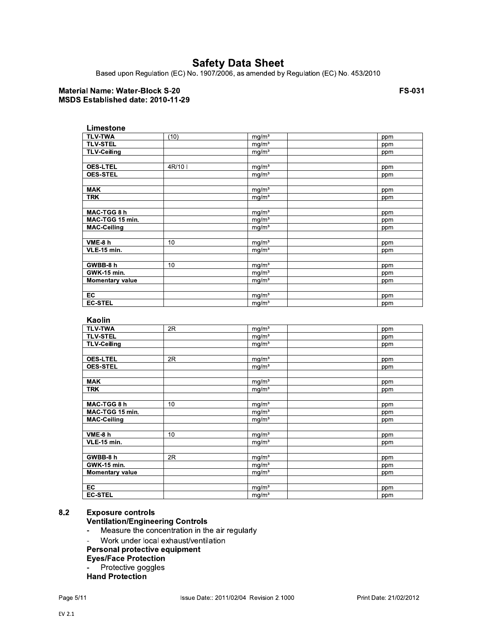Based upon Regulation (EC) No. 1907/2006, as amended by Regulation (EC) No. 453/2010

### **Material Name: Water-Block S-20** MSDS Established date: 2010-11-29

**FS-031** 

| Limestone              |       |                   |     |
|------------------------|-------|-------------------|-----|
| <b>TLV-TWA</b>         | (10)  | mg/m <sup>3</sup> | ppm |
| <b>TLV-STEL</b>        |       | mg/m <sup>3</sup> | ppm |
| <b>TLV-Ceiling</b>     |       | $mg/m^3$          | ppm |
|                        |       |                   |     |
| <b>OES-LTEL</b>        | 4R/10 | $mg/m^3$          | ppm |
| <b>OES-STEL</b>        |       | mg/m <sup>3</sup> | ppm |
|                        |       |                   |     |
| <b>MAK</b>             |       | mg/m <sup>3</sup> | ppm |
| <b>TRK</b>             |       | mg/m <sup>3</sup> | ppm |
|                        |       |                   |     |
| MAC-TGG 8 h            |       | mg/m <sup>3</sup> | ppm |
| MAC-TGG 15 min.        |       | mg/m <sup>3</sup> | ppm |
| <b>MAC-Ceiling</b>     |       | mg/m <sup>3</sup> | ppm |
|                        |       |                   |     |
| VME-8 h                | 10    | mg/m <sup>3</sup> | ppm |
| <b>VLE-15 min.</b>     |       | mg/m <sup>3</sup> | ppm |
|                        |       |                   |     |
| GWBB-8 h               | 10    | mg/m <sup>3</sup> | ppm |
| <b>GWK-15 min.</b>     |       | mg/m <sup>3</sup> | ppm |
| <b>Momentary value</b> |       | mg/m <sup>3</sup> | ppm |
|                        |       |                   |     |
| EC                     |       | mg/m <sup>3</sup> | ppm |
| <b>EC-STEL</b>         |       | mg/m <sup>3</sup> | ppm |

| <b>ƙaolir</b> |  |  |
|---------------|--|--|
|               |  |  |

| <b>TLV-TWA</b>         | 2R | mg/m <sup>3</sup> | ppm |
|------------------------|----|-------------------|-----|
|                        |    |                   |     |
| <b>TLV-STEL</b>        |    | mg/m <sup>3</sup> | ppm |
| <b>TLV-Ceiling</b>     |    | mg/m <sup>3</sup> | ppm |
|                        |    |                   |     |
| <b>OES-LTEL</b>        | 2R | mg/m <sup>3</sup> | ppm |
| <b>OES-STEL</b>        |    | mg/m <sup>3</sup> | ppm |
|                        |    |                   |     |
| <b>MAK</b>             |    | mg/m <sup>3</sup> | ppm |
| <b>TRK</b>             |    | mg/m <sup>3</sup> | ppm |
|                        |    |                   |     |
| MAC-TGG 8 h            | 10 | mg/m <sup>3</sup> | ppm |
| MAC-TGG 15 min.        |    | mg/m <sup>3</sup> | ppm |
| <b>MAC-Ceiling</b>     |    | mg/m <sup>3</sup> | ppm |
|                        |    |                   |     |
| VME-8 h                | 10 | mg/m <sup>3</sup> | ppm |
| <b>VLE-15 min.</b>     |    | mg/m <sup>3</sup> | ppm |
|                        |    |                   |     |
| GWBB-8 h               | 2R | mg/m <sup>3</sup> | ppm |
| <b>GWK-15 min.</b>     |    | mg/m <sup>3</sup> | ppm |
| <b>Momentary value</b> |    | mg/m <sup>3</sup> | ppm |
|                        |    |                   |     |
| EC                     |    | mg/m <sup>3</sup> | ppm |
| <b>EC-STEL</b>         |    | mg/m <sup>3</sup> | ppm |

#### $8.2$ **Exposure controls**

### **Ventilation/Engineering Controls**

- Measure the concentration in the air regularly  $\Box$
- Work under local exhaust/ventilation  $\mathbf{r}$
- Personal protective equipment
- **Eyes/Face Protection**
- Protective goggles  $\sim$
- Hand Protection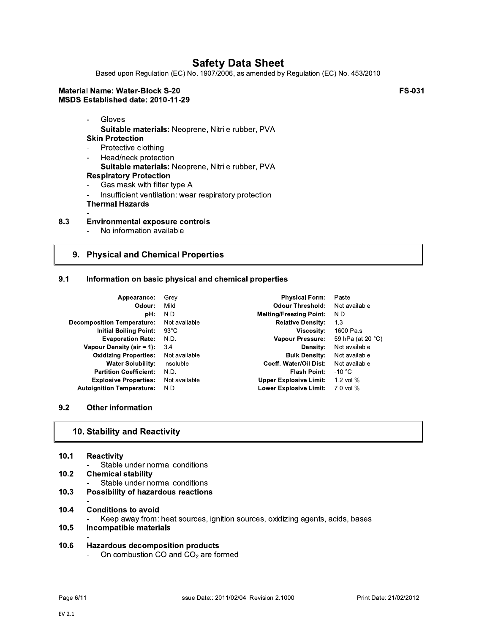Based upon Regulation (EC) No. 1907/2006, as amended by Regulation (EC) No. 453/2010

#### **Material Name: Water-Block S-20** MSDS Established date: 2010-11-29

**FS-031** 

Gloves  $\overline{a}$ 

 $\Box$ 

- Suitable materials: Neoprene, Nitrile rubber, PVA **Skin Protection**
- Protective clothing  $\sim$
- Head/neck protection  $\overline{a}$ Suitable materials: Neoprene, Nitrile rubber, PVA **Respiratory Protection**  $\overline{a}$
- Gas mask with filter type A
- Insufficient ventilation: wear respiratory protection  $\blacksquare$ **Thermal Hazards**
- 8.3 **Environmental exposure controls** 
	- No information available

## 9. Physical and Chemical Properties

#### $9.1$ Information on basic physical and chemical properties

| Appearance:                      | Grey           | <b>Physical Form:</b>          | Paste             |
|----------------------------------|----------------|--------------------------------|-------------------|
| Odour:                           | Mild           | <b>Odour Threshold:</b>        | Not available     |
| pH:                              | N.D.           | <b>Melting/Freezing Point:</b> | N.D.              |
| Decomposition Temperature:       | Not available  | <b>Relative Density:</b>       | 1.3               |
| <b>Initial Boiling Point:</b>    | $93^{\circ}$ C | Viscosity:                     | 1600 Pa.s         |
| <b>Evaporation Rate:</b>         | N.D.           | <b>Vapour Pressure:</b>        | 59 hPa (at 20 °C) |
| Vapour Density (air = 1):        | 3.4            | Density:                       | Not available     |
| <b>Oxidizing Properties:</b>     | Not available  | <b>Bulk Density:</b>           | Not available     |
| <b>Water Solubility:</b>         | Insoluble      | Coeff. Water/Oil Dist:         | Not available     |
| <b>Partition Coefficient:</b>    | N.D.           | Flash Point:                   | -10 $^{\circ}$ C  |
| <b>Explosive Properties:</b>     | Not available  | <b>Upper Explosive Limit:</b>  | 1.2 vol $%$       |
| <b>Autoignition Temperature:</b> | N.D.           | <b>Lower Explosive Limit:</b>  | $7.0$ vol %       |

#### $9.2$ **Other information**

## 10. Stability and Reactivity

| 10.1              | <b>Reactivity</b>                                                                   |
|-------------------|-------------------------------------------------------------------------------------|
|                   | Stable under normal conditions                                                      |
| 10.2 <sub>1</sub> | <b>Chemical stability</b>                                                           |
|                   | Stable under normal conditions                                                      |
| 10.3              | <b>Possibility of hazardous reactions</b>                                           |
|                   |                                                                                     |
| 10.4              | <b>Conditions to avoid</b>                                                          |
|                   | Keep away from: heat sources, ignition sources, oxidizing agents, acids, bases<br>۰ |
| 10.5              | Incompatible materials                                                              |
|                   |                                                                                     |
| 10.6              | Hazardous decomposition products                                                    |

On combustion CO and CO<sub>2</sub> are formed  $\frac{1}{2}$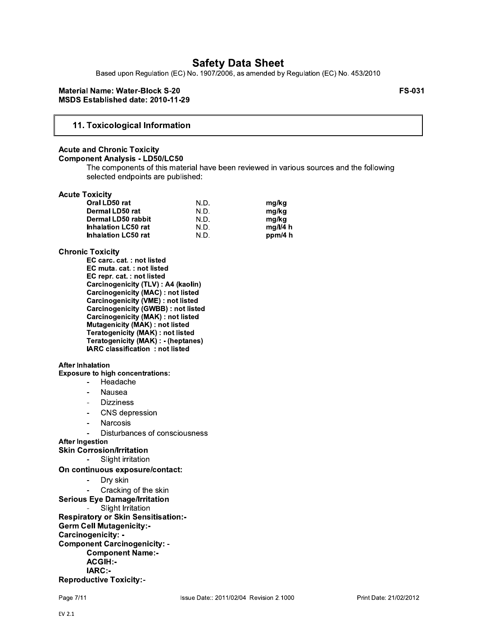Based upon Regulation (EC) No. 1907/2006, as amended by Regulation (EC) No. 453/2010

#### **Material Name: Water-Block S-20** MSDS Established date: 2010-11-29

**FS-031** 

### 11. Toxicological Information

#### **Acute and Chronic Toxicity Component Analysis - LD50/LC50**

The components of this material have been reviewed in various sources and the following selected endpoints are published:

#### **Acute Toxicity**

| Oral LD50 rat              | N.D. | mg/kg    |
|----------------------------|------|----------|
| Dermal LD50 rat            | N.D. | mg/kg    |
| Dermal LD50 rabbit         | N.D. | ma/ka    |
| <b>Inhalation LC50 rat</b> | N.D. | mq/l/4 h |
| <b>Inhalation LC50 rat</b> | N.D. | ppm/4 h  |

#### **Chronic Toxicity**

EC carc. cat.: not listed EC muta. cat.: not listed EC repr. cat.: not listed Carcinogenicity (TLV) : A4 (kaolin) Carcinogenicity (MAC) : not listed **Carcinogenicity (VME) : not listed<br>Carcinogenicity (GWBB) : not listed** Carcinogenicity (MAK) : not listed Mutagenicity (MAK) : not listed Teratogenicity (MAK) : not listed Teratogenicity (MAK) : - (heptanes) IARC classification : not listed

#### **After Inhalation**

**Exposure to high concentrations:** 

- Headache  $\sim$
- Nausea
- **Dizziness**  $\sim$
- $\mathbf{r}$ CNS depression
- Narcosis
- Disturbances of consciousness
- **After Ingestion**
- **Skin Corrosion/Irritation** 
	- Slight irritation

On continuous exposure/contact:

- $\sim$ Dry skin
	- Cracking of the skin
- **Serious Eye Damage/Irritation** 
	- Slight Irritation

**Respiratory or Skin Sensitisation:-Germ Cell Mutagenicity:-**

Carcinogenicity: -

**Component Carcinogenicity: -**

**Component Name:-**ACGIH:-

**IARC:-**

**Reproductive Toxicity:-**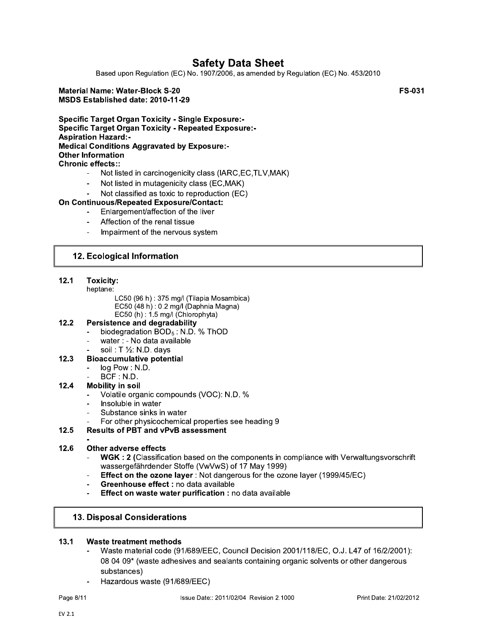Based upon Regulation (EC) No. 1907/2006, as amended by Regulation (EC) No. 453/2010

### **Material Name: Water-Block S-20** MSDS Established date: 2010-11-29

**FS-031** 

**Specific Target Organ Toxicity - Single Exposure:-Specific Target Organ Toxicity - Repeated Exposure:-Aspiration Hazard:-Medical Conditions Aggravated by Exposure:-Other Information Chronic effects::** 

- Not listed in carcinogenicity class (IARC, EC, TLV, MAK)
- Not listed in mutagenicity class (EC,MAK)  $\blacksquare$
- Not classified as toxic to reproduction (EC)

### On Continuous/Repeated Exposure/Contact:

- Enlargement/affection of the liver
- Affection of the renal tissue
- Impairment of the nervous system

### 12. Ecological Information

#### $12.1$ Toxicity:

- heptane:
	- LC50 (96 h): 375 mg/l (Tilapia Mosambica) EC50 (48 h): 0.2 mg/l (Daphnia Magna)
	- EC50 (h):  $1.5$  mg/l (Chlorophyta)

#### $12.2$ **Persistence and degradability**

- biodegradation BOD<sub>5</sub>: N.D. % ThOD
- water : No data available
- soil:  $T \frac{1}{2}$ : N.D. days

#### **Bioaccumulative potential**  $12.3$

- log Pow: N.D.
- $BCF : N.D.$

#### $12.4$ **Mobility in soil**

- Volatile organic compounds (VOC): N.D. %
- Insoluble in water
- Substance sinks in water
- For other physicochemical properties see heading 9

#### $12.5$ **Results of PBT and vPvB assessment**

#### $12.6$ **Other adverse effects**

- WGK : 2 (Classification based on the components in compliance with Verwaltungsvorschrift wassergefährdender Stoffe (VwVwS) of 17 May 1999)
- **Effect on the ozone layer:** Not dangerous for the ozone layer (1999/45/EC)  $\overline{a}$
- Greenhouse effect : no data available
- Effect on waste water purification : no data available

### **13. Disposal Considerations**

#### $13.1$ Waste treatment methods

- Waste material code (91/689/EEC, Council Decision 2001/118/EC, O.J. L47 of 16/2/2001): 08 04 09\* (waste adhesives and sealants containing organic solvents or other dangerous substances)
- Hazardous waste (91/689/EEC)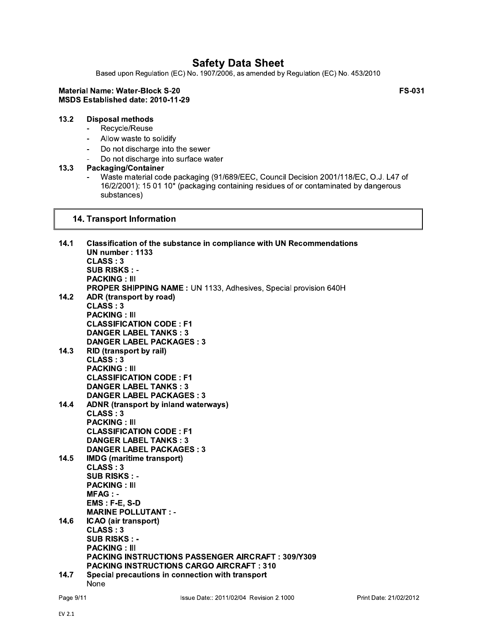Based upon Regulation (EC) No. 1907/2006, as amended by Regulation (EC) No. 453/2010

### **Material Name: Water-Block S-20** MSDS Established date: 2010-11-29

**FS-031** 

#### $13.2$ **Disposal methods**

- Recycle/Reuse  $\mathbf{L}^{\text{max}}$
- Allow waste to solidify  $\mathbf{r}$
- Do not discharge into the sewer  $\sim$
- Do not discharge into surface water

#### $13.3$ Packaging/Container

 $\blacksquare$ 

Waste material code packaging (91/689/EEC, Council Decision 2001/118/EC, O.J. L47 of 16/2/2001): 15 01 10\* (packaging containing residues of or contaminated by dangerous substances)

### 14. Transport Information

| 14.1 | Classification of the substance in compliance with UN Recommendations<br><b>UN number: 1133</b> |
|------|-------------------------------------------------------------------------------------------------|
|      | CLASS: 3                                                                                        |
|      | <b>SUB RISKS: -</b>                                                                             |
|      | <b>PACKING: III</b>                                                                             |
| 14.2 | PROPER SHIPPING NAME: UN 1133, Adhesives, Special provision 640H                                |
|      | ADR (transport by road)<br>CLASS:3                                                              |
|      | <b>PACKING: III</b>                                                                             |
|      | <b>CLASSIFICATION CODE: F1</b>                                                                  |
|      | <b>DANGER LABEL TANKS: 3</b>                                                                    |
|      | <b>DANGER LABEL PACKAGES: 3</b>                                                                 |
| 14.3 | RID (transport by rail)                                                                         |
|      | CLASS: 3                                                                                        |
|      | <b>PACKING: III</b>                                                                             |
|      | <b>CLASSIFICATION CODE: F1</b>                                                                  |
|      | <b>DANGER LABEL TANKS: 3</b>                                                                    |
|      | <b>DANGER LABEL PACKAGES: 3</b>                                                                 |
| 14.4 | <b>ADNR (transport by inland waterways)</b>                                                     |
|      | <b>CLASS: 3</b>                                                                                 |
|      | <b>PACKING: III</b>                                                                             |
|      | <b>CLASSIFICATION CODE: F1</b>                                                                  |
|      | <b>DANGER LABEL TANKS: 3</b>                                                                    |
|      | <b>DANGER LABEL PACKAGES: 3</b>                                                                 |
| 14.5 | <b>IMDG</b> (maritime transport)                                                                |
|      | <b>CLASS: 3</b>                                                                                 |
|      | <b>SUB RISKS: -</b>                                                                             |
|      | <b>PACKING: III</b>                                                                             |
|      | $MFAG: -$                                                                                       |
|      | EMS: F-E, S-D                                                                                   |
|      | <b>MARINE POLLUTANT : -</b>                                                                     |
| 14.6 | ICAO (air transport)                                                                            |
|      | CLASS:3                                                                                         |
|      | <b>SUB RISKS: -</b>                                                                             |
|      | <b>PACKING: III</b>                                                                             |
|      | <b>PACKING INSTRUCTIONS PASSENGER AIRCRAFT: 309/Y309</b>                                        |
|      | <b>PACKING INSTRUCTIONS CARGO AIRCRAFT: 310</b>                                                 |
| 14.7 | Special precautions in connection with transport                                                |
|      | None                                                                                            |

Page 9/11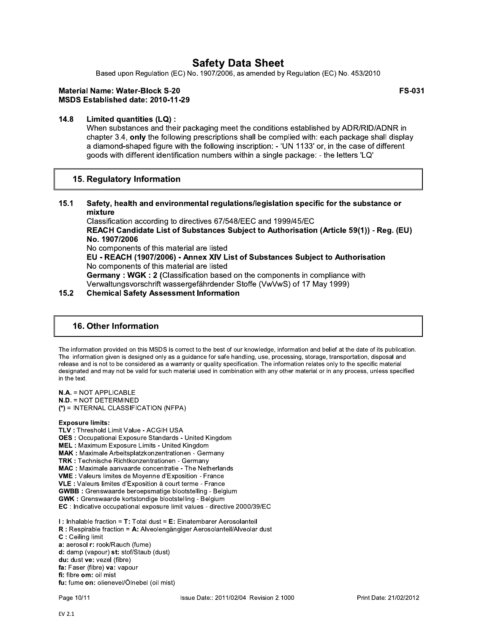Based upon Regulation (EC) No. 1907/2006, as amended by Regulation (EC) No. 453/2010

### **Material Name: Water-Block S-20** MSDS Established date: 2010-11-29

 $14.8$ Limited quantities (LQ) :

> When substances and their packaging meet the conditions established by ADR/RID/ADNR in chapter 3.4, only the following prescriptions shall be complied with: each package shall display a diamond-shaped figure with the following inscription: - 'UN 1133' or, in the case of different goods with different identification numbers within a single package: - the letters 'LQ'

### 15. Regulatory Information

 $15.1$ Safety, health and environmental regulations/legislation specific for the substance or mixture

Classification according to directives 67/548/EEC and 1999/45/EC REACH Candidate List of Substances Subiect to Authorisation (Article 59(1)) - Reg. (EU) No. 1907/2006 No components of this material are listed EU - REACH (1907/2006) - Annex XIV List of Substances Subject to Authorisation No components of this material are listed Germany: WGK: 2 (Classification based on the components in compliance with Verwaltungsvorschrift wassergefährdender Stoffe (VwVwS) of 17 May 1999)

#### $15.2$ **Chemical Safety Assessment Information**

### **16. Other Information**

The information provided on this MSDS is correct to the best of our knowledge, information and belief at the date of its publication. The information given is designed only as a guidance for safe handling, use, processing, storage, transportation, disposal and release and is not to be considered as a warranty or quality specification. The information relates only to the specific material designated and may not be valid for such material used in combination with any other material or in any process, unless specified in the text.

N.A. = NOT APPLICABLE **N.D. = NOT DETERMINED**  $(*)$  = INTERNAL CLASSIFICATION (NFPA)

#### **Exposure limits:**

TLV: Threshold Limit Value - ACGIH USA **OES: Occupational Exposure Standards - United Kingdom** MEL: Maximum Exposure Limits - United Kingdom MAK: Maximale Arbeitsplatzkonzentrationen - Germany TRK: Technische Richtkonzentrationen - Germany MAC : Maximale aanvaarde concentratie - The Netherlands **VME:** Valeurs limites de Moyenne d'Exposition - France VLE : Valeurs limites d'Exposition à court terme - France **GWBB** : Grenswaarde beroepsmatige blootstelling - Belgium GWK : Grenswaarde kortstondige blootstelling - Belgium EC : Indicative occupational exposure limit values - directive 2000/39/EC

I: Inhalable fraction = T: Total dust = E: Einatembarer Aerosolanteil R : Respirable fraction = A: Alveolengängiger Aerosolanteil/Alveolar dust C: Ceiling limit a: aerosol r: rook/Rauch (fume) d: damp (vapour) st: stof/Staub (dust) du: dust ve: vezel (fibre) fa: Faser (fibre) va: vapour fi: fibre om: oil mist fu: fume on: olienevel/Ölnebel (oil mist)

**FS-031**